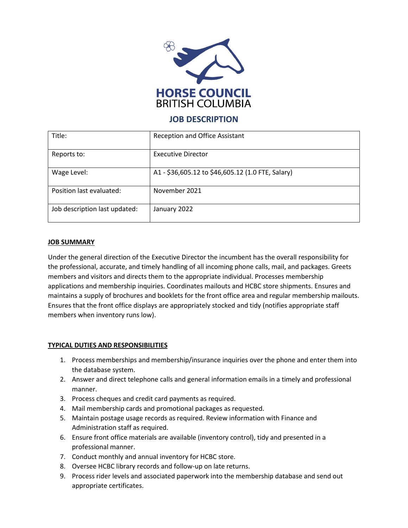

# **JOB DESCRIPTION**

| Title:                        | Reception and Office Assistant                    |
|-------------------------------|---------------------------------------------------|
| Reports to:                   | <b>Executive Director</b>                         |
| Wage Level:                   | A1 - \$36,605.12 to \$46,605.12 (1.0 FTE, Salary) |
| Position last evaluated:      | November 2021                                     |
| Job description last updated: | January 2022                                      |

## **JOB SUMMARY**

Under the general direction of the Executive Director the incumbent has the overall responsibility for the professional, accurate, and timely handling of all incoming phone calls, mail, and packages. Greets members and visitors and directs them to the appropriate individual. Processes membership applications and membership inquiries. Coordinates mailouts and HCBC store shipments. Ensures and maintains a supply of brochures and booklets for the front office area and regular membership mailouts. Ensures that the front office displays are appropriately stocked and tidy (notifies appropriate staff members when inventory runs low).

### **TYPICAL DUTIES AND RESPONSIBILITIES**

- 1. Process memberships and membership/insurance inquiries over the phone and enter them into the database system.
- 2. Answer and direct telephone calls and general information emails in a timely and professional manner.
- 3. Process cheques and credit card payments as required.
- 4. Mail membership cards and promotional packages as requested.
- 5. Maintain postage usage records as required. Review information with Finance and Administration staff as required.
- 6. Ensure front office materials are available (inventory control), tidy and presented in a professional manner.
- 7. Conduct monthly and annual inventory for HCBC store.
- 8. Oversee HCBC library records and follow-up on late returns.
- 9. Process rider levels and associated paperwork into the membership database and send out appropriate certificates.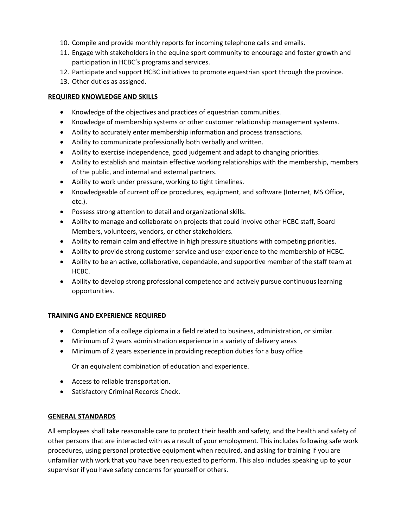- 10. Compile and provide monthly reports for incoming telephone calls and emails.
- 11. Engage with stakeholders in the equine sport community to encourage and foster growth and participation in HCBC's programs and services.
- 12. Participate and support HCBC initiatives to promote equestrian sport through the province.
- 13. Other duties as assigned.

## **REQUIRED KNOWLEDGE AND SKILLS**

- Knowledge of the objectives and practices of equestrian communities.
- Knowledge of membership systems or other customer relationship management systems.
- Ability to accurately enter membership information and process transactions.
- Ability to communicate professionally both verbally and written.
- Ability to exercise independence, good judgement and adapt to changing priorities.
- Ability to establish and maintain effective working relationships with the membership, members of the public, and internal and external partners.
- Ability to work under pressure, working to tight timelines.
- Knowledgeable of current office procedures, equipment, and software (Internet, MS Office, etc.).
- Possess strong attention to detail and organizational skills.
- Ability to manage and collaborate on projects that could involve other HCBC staff, Board Members, volunteers, vendors, or other stakeholders.
- Ability to remain calm and effective in high pressure situations with competing priorities.
- Ability to provide strong customer service and user experience to the membership of HCBC.
- Ability to be an active, collaborative, dependable, and supportive member of the staff team at HCBC.
- Ability to develop strong professional competence and actively pursue continuous learning opportunities.

## **TRAINING AND EXPERIENCE REQUIRED**

- Completion of a college diploma in a field related to business, administration, or similar.
- Minimum of 2 years administration experience in a variety of delivery areas
- Minimum of 2 years experience in providing reception duties for a busy office

Or an equivalent combination of education and experience.

- Access to reliable transportation.
- Satisfactory Criminal Records Check.

## **GENERAL STANDARDS**

All employees shall take reasonable care to protect their health and safety, and the health and safety of other persons that are interacted with as a result of your employment. This includes following safe work procedures, using personal protective equipment when required, and asking for training if you are unfamiliar with work that you have been requested to perform. This also includes speaking up to your supervisor if you have safety concerns for yourself or others.